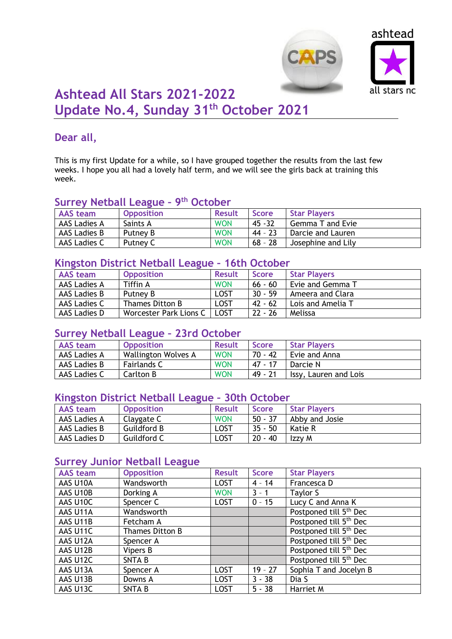



# **Ashtead All Stars 2021-2022 Update No.4, Sunday 31th October 2021**

## **Dear all,**

This is my first Update for a while, so I have grouped together the results from the last few weeks. I hope you all had a lovely half term, and we will see the girls back at training this week.

## **Surrey Netball League – 9 th October**

| AAS team     | <b>Opposition</b> | <b>Result</b> | Score     | <b>Star Players</b>     |  |
|--------------|-------------------|---------------|-----------|-------------------------|--|
| AAS Ladies A | Saints A          | <b>WON</b>    | $45 - 32$ | <b>Gemma T and Evie</b> |  |
| AAS Ladies B | Putney B          | <b>WON</b>    | 44 - 23   | Darcie and Lauren       |  |
| AAS Ladies C | Putney C          | <b>WON</b>    | $68 - 28$ | Josephine and Lily      |  |

## **Kingston District Netball League – 16th October**

| <b>AAS</b> team | <b>Opposition</b>      | <b>Result</b> | <b>Score</b> | <b>Star Players</b> |
|-----------------|------------------------|---------------|--------------|---------------------|
| AAS Ladies A    | Tiffin A               | <b>WON</b>    | $66 - 60$    | Evie and Gemma T    |
| AAS Ladies B    | Putney B               | LOST          | $30 - 59$    | Ameera and Clara    |
| AAS Ladies C    | Thames Ditton B        | <b>LOST</b>   | $42 - 62$    | Lois and Amelia T   |
| AAS Ladies D    | Worcester Park Lions C | <b>LOST</b>   | $22 - 26$    | Melissa             |

#### **Surrey Netball League – 23rd October**

| <b>AAS</b> team | <b>Opposition</b>          | <b>Result</b> | Score     | <b>Star Players</b>   |
|-----------------|----------------------------|---------------|-----------|-----------------------|
| AAS Ladies A    | <b>Wallington Wolves A</b> | <b>WON</b>    | $70 - 42$ | Evie and Anna         |
| AAS Ladies B    | <b>Fairlands C</b>         | <b>WON</b>    | 47 - 17   | Darcie N              |
| AAS Ladies C    | Carlton B                  | <b>WON</b>    | 49 - 21   | Issy, Lauren and Lois |

#### **Kingston District Netball League – 30th October**

| AAS team            | <b>Opposition</b>  | <b>Result</b> | <b>Score</b> | <b>Star Players</b> |
|---------------------|--------------------|---------------|--------------|---------------------|
| <b>AAS Ladies A</b> | Claygate C         | <b>WON</b>    | $50 - 37$    | Abby and Josie      |
| AAS Ladies B        | <b>Guildford B</b> | LOST          | $35 - 50$    | Katie R             |
| AAS Ladies D        | Guildford C        | LOST          | $20 - 40$    | Izzy M              |

## **Surrey Junior Netball League**

| <b>AAS</b> team | <b>Opposition</b> | <b>Result</b> | <b>Score</b> | <b>Star Players</b>                |
|-----------------|-------------------|---------------|--------------|------------------------------------|
| AAS U10A        | Wandsworth        | <b>LOST</b>   | $4 - 14$     | Francesca D                        |
| AAS U10B        | Dorking A         | <b>WON</b>    | $3 - 1$      | Taylor S                           |
| AAS U10C        | Spencer C         | <b>LOST</b>   | $0 - 15$     | Lucy C and Anna K                  |
| AAS U11A        | Wandsworth        |               |              | Postponed till 5 <sup>th</sup> Dec |
| AAS U11B        | Fetcham A         |               |              | Postponed till 5 <sup>th</sup> Dec |
| AAS U11C        | Thames Ditton B   |               |              | Postponed till 5 <sup>th</sup> Dec |
| AAS U12A        | Spencer A         |               |              | Postponed till 5 <sup>th</sup> Dec |
| AAS U12B        | Vipers B          |               |              | Postponed till 5 <sup>th</sup> Dec |
| AAS U12C        | <b>SNTAB</b>      |               |              | Postponed till 5 <sup>th</sup> Dec |
| AAS U13A        | Spencer A         | <b>LOST</b>   | $19 - 27$    | Sophia T and Jocelyn B             |
| AAS U13B        | Downs A           | <b>LOST</b>   | $3 - 38$     | Dia S                              |
| AAS U13C        | <b>SNTAB</b>      | <b>LOST</b>   | $5 - 38$     | Harriet M                          |